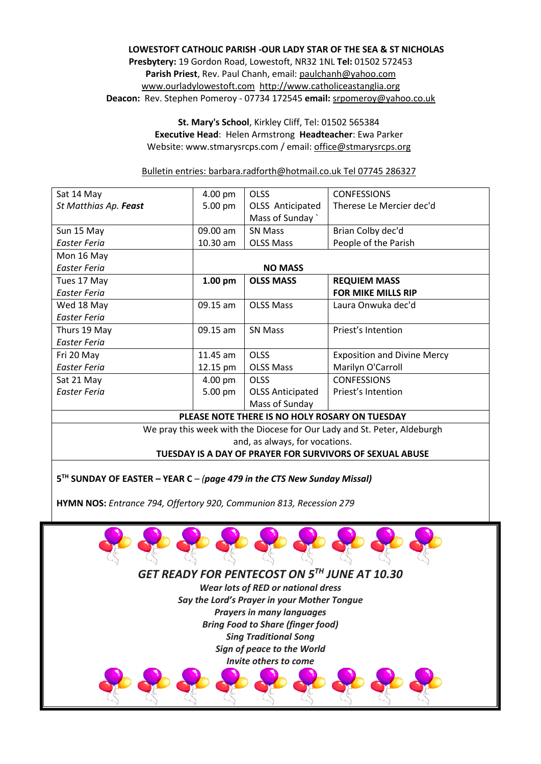## **LOWESTOFT CATHOLIC PARISH -OUR LADY STAR OF THE SEA & ST NICHOLAS Presbytery:** 19 Gordon Road, Lowestoft, NR32 1NL **Tel:** 01502 572453 **Parish Priest**, Rev. Paul Chanh, email[: paulchanh@yahoo.com](about:blank) [www.ourladylowestoft.com http://www.catholiceastanglia.org](about:blank) **Deacon:** Rev. Stephen Pomeroy - 07734 172545 **email:** [srpomeroy@yahoo.co.uk](about:blank)

**St. Mary's School**, Kirkley Cliff, Tel: 01502 565384 **Executive Head**: Helen Armstrong **Headteacher**: Ewa Parker Website: www.stmarysrcps.com / email[: office@stmarysrcps.org](about:blank)

Bulletin entries: [barbara.radforth@hotmail.co.uk](about:blank) Tel 07745 286327

| Sat 14 May                                                               | 4.00 pm        | <b>OLSS</b>             | <b>CONFESSIONS</b>                 |
|--------------------------------------------------------------------------|----------------|-------------------------|------------------------------------|
| St Matthias Ap. Feast                                                    | 5.00 pm        | OLSS Anticipated        | Therese Le Mercier dec'd           |
|                                                                          |                | Mass of Sunday          |                                    |
| Sun 15 May                                                               | 09.00 am       | <b>SN Mass</b>          | Brian Colby dec'd                  |
| Easter Feria                                                             | $10.30$ am     | <b>OLSS Mass</b>        | People of the Parish               |
| Mon 16 May                                                               |                |                         |                                    |
| Easter Feria                                                             | <b>NO MASS</b> |                         |                                    |
| Tues 17 May                                                              | $1.00$ pm      | <b>OLSS MASS</b>        | <b>REQUIEM MASS</b>                |
| Easter Feria                                                             |                |                         | <b>FOR MIKE MILLS RIP</b>          |
| Wed 18 May                                                               | 09.15 am       | <b>OLSS Mass</b>        | Laura Onwuka dec'd                 |
| Easter Feria                                                             |                |                         |                                    |
| Thurs 19 May                                                             | 09.15 am       | <b>SN Mass</b>          | Priest's Intention                 |
| Easter Feria                                                             |                |                         |                                    |
| Fri 20 May                                                               | $11.45$ am     | <b>OLSS</b>             | <b>Exposition and Divine Mercy</b> |
| Easter Feria                                                             | 12.15 pm       | <b>OLSS Mass</b>        | Marilyn O'Carroll                  |
| Sat 21 May                                                               | 4.00 pm        | <b>OLSS</b>             | <b>CONFESSIONS</b>                 |
| Easter Feria                                                             | 5.00 pm        | <b>OLSS Anticipated</b> | Priest's Intention                 |
|                                                                          |                | Mass of Sunday          |                                    |
| PLEASE NOTE THERE IS NO HOLY ROSARY ON TUESDAY                           |                |                         |                                    |
| We pray this week with the Diocese for Our Lady and St. Peter, Aldeburgh |                |                         |                                    |
| and, as always, for vocations.                                           |                |                         |                                    |
| TUESDAY IS A DAY OF PRAYER FOR SURVIVORS OF SEXUAL ABUSE                 |                |                         |                                    |

**5 TH SUNDAY OF EASTER – YEAR C** – *(page 479 in the CTS New Sunday Missal)*

**HYMN NOS:** *Entrance 794, Offertory 920, Communion 813, Recession 279*